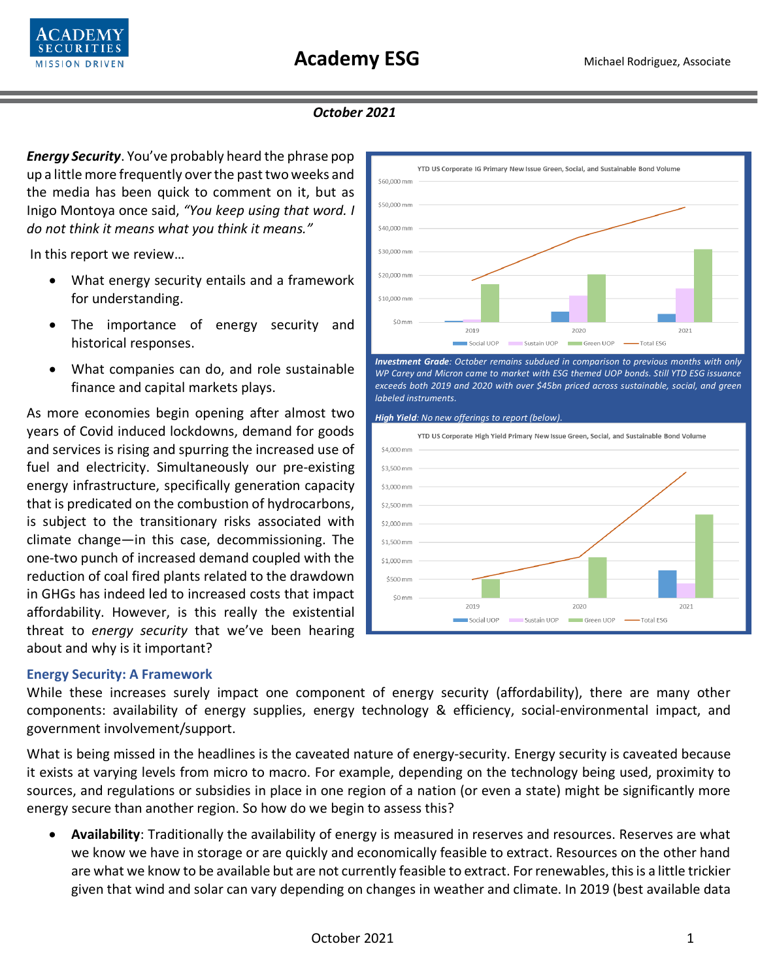

## *October 2021*

*Energy Security*. You've probably heard the phrase pop up a little more frequently over the past two weeks and the media has been quick to comment on it, but as Inigo Montoya once said, *"You keep using that word. I do not think it means what you think it means."*

In this report we review…

- What energy security entails and a framework for understanding.
- The importance of energy security and historical responses.
- What companies can do, and role sustainable finance and capital markets plays.

As more economies begin opening after almost two years of Covid induced lockdowns, demand for goods and services is rising and spurring the increased use of fuel and electricity. Simultaneously our pre-existing energy infrastructure, specifically generation capacity that is predicated on the combustion of hydrocarbons, is subject to the transitionary risks associated with climate change—in this case, decommissioning. The one-two punch of increased demand coupled with the reduction of coal fired plants related to the drawdown in GHGs has indeed led to increased costs that impact affordability. However, is this really the existential threat to *energy security* that we've been hearing about and why is it important?

### **Energy Security: A Framework**

While these increases surely impact one component of energy security (affordability), there are many other components: availability of energy supplies, energy technology & efficiency, social-environmental impact, and government involvement/support.

What is being missed in the headlines is the caveated nature of energy-security. Energy security is caveated because it exists at varying levels from micro to macro. For example, depending on the technology being used, proximity to sources, and regulations or subsidies in place in one region of a nation (or even a state) might be significantly more energy secure than another region. So how do we begin to assess this?

• **Availability**: Traditionally the availability of energy is measured in reserves and resources. Reserves are what we know we have in storage or are quickly and economically feasible to extract. Resources on the other hand are what we know to be available but are not currently feasible to extract. For renewables, thisis a little trickier given that wind and solar can vary depending on changes in weather and climate. In 2019 (best available data



*Investment Grade: October remains subdued in comparison to previous months with only WP Carey and Micron came to market with ESG themed UOP bonds. Still YTD ESG issuance exceeds both 2019 and 2020 with over \$45bn priced across sustainable, social, and green labeled instruments.* 

#### *High Yield: No new offerings to report (below).*

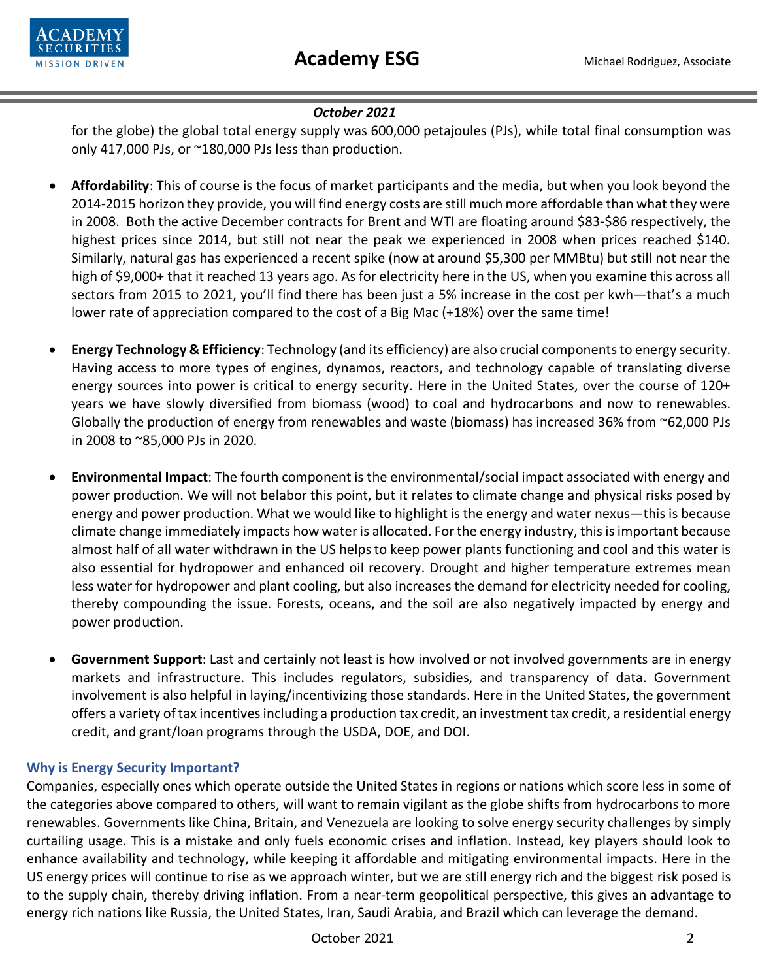

# *October 2021*

for the globe) the global total energy supply was 600,000 petajoules (PJs), while total final consumption was only 417,000 PJs, or ~180,000 PJs less than production.

- **Affordability**: This of course is the focus of market participants and the media, but when you look beyond the 2014-2015 horizon they provide, you will find energy costs are still much more affordable than what they were in 2008. Both the active December contracts for Brent and WTI are floating around \$83-\$86 respectively, the highest prices since 2014, but still not near the peak we experienced in 2008 when prices reached \$140. Similarly, natural gas has experienced a recent spike (now at around \$5,300 per MMBtu) but still not near the high of \$9,000+ that it reached 13 years ago. As for electricity here in the US, when you examine this across all sectors from 2015 to 2021, you'll find there has been just a 5% increase in the cost per kwh—that's a much lower rate of appreciation compared to the cost of a Big Mac (+18%) over the same time!
- **Energy Technology & Efficiency**: Technology (and its efficiency) are also crucial componentsto energy security. Having access to more types of engines, dynamos, reactors, and technology capable of translating diverse energy sources into power is critical to energy security. Here in the United States, over the course of 120+ years we have slowly diversified from biomass (wood) to coal and hydrocarbons and now to renewables. Globally the production of energy from renewables and waste (biomass) has increased 36% from ~62,000 PJs in 2008 to ~85,000 PJs in 2020.
- **Environmental Impact**: The fourth component is the environmental/social impact associated with energy and power production. We will not belabor this point, but it relates to climate change and physical risks posed by energy and power production. What we would like to highlight is the energy and water nexus—this is because climate change immediately impacts how water is allocated. For the energy industry, this is important because almost half of all water withdrawn in the US helps to keep power plants functioning and cool and this water is also essential for hydropower and enhanced oil recovery. Drought and higher temperature extremes mean less water for hydropower and plant cooling, but also increases the demand for electricity needed for cooling, thereby compounding the issue. Forests, oceans, and the soil are also negatively impacted by energy and power production.
- **Government Support**: Last and certainly not least is how involved or not involved governments are in energy markets and infrastructure. This includes regulators, subsidies, and transparency of data. Government involvement is also helpful in laying/incentivizing those standards. Here in the United States, the government offers a variety of tax incentives including a production tax credit, an investment tax credit, a residential energy credit, and grant/loan programs through the USDA, DOE, and DOI.

# **Why is Energy Security Important?**

Companies, especially ones which operate outside the United States in regions or nations which score less in some of the categories above compared to others, will want to remain vigilant as the globe shifts from hydrocarbons to more renewables. Governments like China, Britain, and Venezuela are looking to solve energy security challenges by simply curtailing usage. This is a mistake and only fuels economic crises and inflation. Instead, key players should look to enhance availability and technology, while keeping it affordable and mitigating environmental impacts. Here in the US energy prices will continue to rise as we approach winter, but we are still energy rich and the biggest risk posed is to the supply chain, thereby driving inflation. From a near-term geopolitical perspective, this gives an advantage to energy rich nations like Russia, the United States, Iran, Saudi Arabia, and Brazil which can leverage the demand.